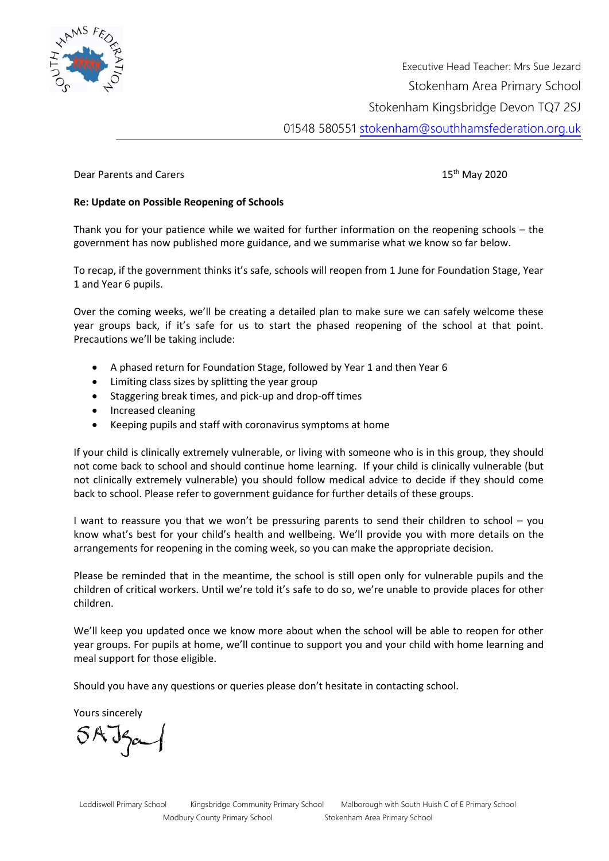

Executive Head Teacher: Mrs Sue Jezard Stokenham Area Primary School Stokenham Kingsbridge Devon TQ7 2SJ 01548 580551 [stokenham@southhamsfederation.org.uk](mailto:stokenham@southhamsfederation.org.uk) 

Dear Parents and Carers 15th May 2020 15th May 2020

## **Re: Update on Possible Reopening of Schools**

Thank you for your patience while we waited for further information on the reopening schools – the government has now published more guidance, and we summarise what we know so far below.

To recap, if the government thinks it's safe, schools will reopen from 1 June for Foundation Stage, Year 1 and Year 6 pupils.

Over the coming weeks, we'll be creating a detailed plan to make sure we can safely welcome these year groups back, if it's safe for us to start the phased reopening of the school at that point. Precautions we'll be taking include:

- A phased return for Foundation Stage, followed by Year 1 and then Year 6
- Limiting class sizes by splitting the year group
- Staggering break times, and pick-up and drop-off times
- Increased cleaning
- Keeping pupils and staff with coronavirus symptoms at home

If your child is clinically extremely vulnerable, or living with someone who is in this group, they should not come back to school and should continue home learning. If your child is clinically vulnerable (but not clinically extremely vulnerable) you should follow medical advice to decide if they should come back to school. Please refer to [government guidance](https://www.gov.uk/government/publications/coronavirus-covid-19-implementing-protective-measures-in-education-and-childcare-settings/coronavirus-covid-19-implementing-protective-measures-in-education-and-childcare-settings#shielded-and-clinically-vulnerable-children-and-young-people) for further details of these groups.

I want to reassure you that we won't be pressuring parents to send their children to school – you know what's best for your child's health and wellbeing. We'll provide you with more details on the arrangements for reopening in the coming week, so you can make the appropriate decision.

Please be reminded that in the meantime, the school is still open only for vulnerable pupils and the children of critical workers. Until we're told it's safe to do so, we're unable to provide places for other children.

We'll keep you updated once we know more about when the school will be able to reopen for other year groups. For pupils at home, we'll continue to support you and your child with home learning and meal support for those eligible.

Should you have any questions or queries please don't hesitate in contacting school.

Yours sincerely